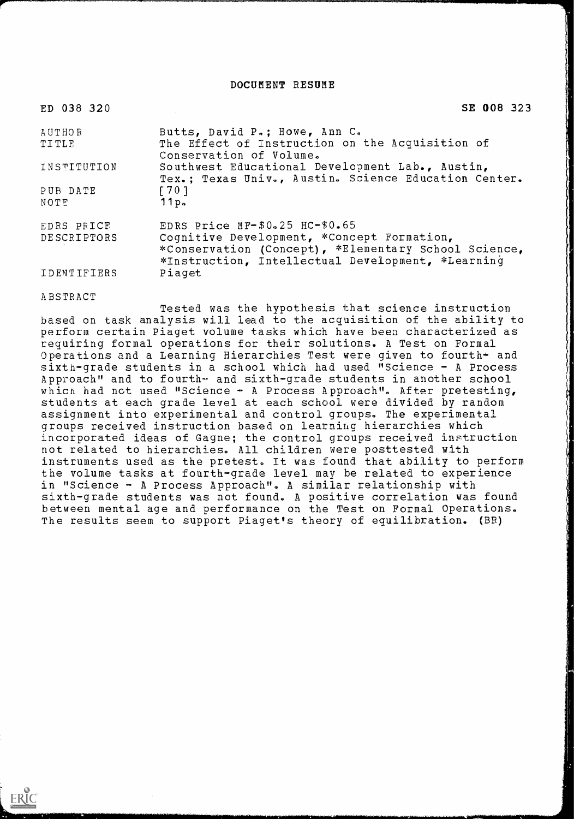DOCUMENT RESUME

| ED 038 320   | SE 008 323                                                                                                                                              |
|--------------|---------------------------------------------------------------------------------------------------------------------------------------------------------|
| AUTHOR       | Butts, David P.; Howe, Ann C.                                                                                                                           |
| <b>TITLE</b> | The Effect of Instruction on the Acquisition of<br>Conservation of Volume.                                                                              |
| INSTITUTION  | Southwest Educational Development Lab., Austin,<br>Tex.; Texas Univ., Austin. Science Education Center.                                                 |
| PUB DATE     | $\begin{bmatrix} 701 \end{bmatrix}$                                                                                                                     |
| NOTE         | 11p <sub>o</sub>                                                                                                                                        |
| EDRS PRICE   | EDRS Price $MF-$0.25$ $HC-$0.65$                                                                                                                        |
| DESCRIPTORS  | Cognitive Development, *Concept Formation,<br>*Conservation (Concept), *Elementary School Science,<br>*Instruction, Intellectual Development, *Learning |
| IDENTIFIERS  | Piaget                                                                                                                                                  |

#### ABSTRACT

ERIC

Tested was the hypothesis that science instruction based on task analysis will lead to the acquisition of the ability to perform certain Piaget volume tasks which have been characterized as requiring formal operations for their solutions. A Test on Formal Operations and a Learning Hierarchies Test were given to fourth+ and sixth-grade students in a school which had used "Science - A Process Approach" and to fourth- and sixth-grade students in another school which had not used "Science - A Process Approach". After pretesting, students at each grade level at each school were divided by random assignment into experimental and control groups. The experimental groups received instruction based on learning hierarchies which incorporated ideas of Gagne; the control groups received instruction not related to hierarchies. All children were posttested with instruments used as the pretest. It was found that ability to perform the volume tasks at fourth-grade level may be related to experience in "Science - A Process Approach". A similar relationship with sixth-grade students was not found. A positive correlation was found between mental age and performance on the Test on Formal Operations. The results seem to support Piaget's theory of equilibration. (BR)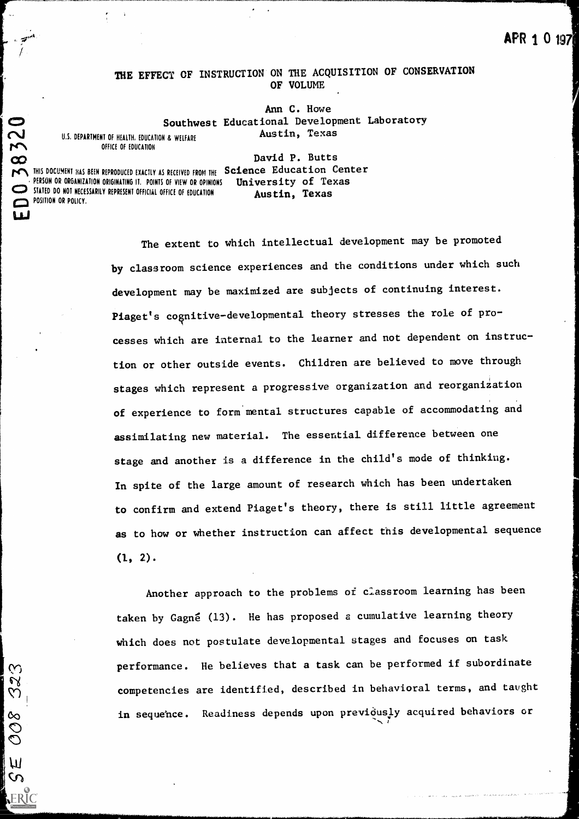# APR 1 0 197

## THE EFFECT OF INSTRUCTION ON THE ACQUISITION OF CONSERVATION OF VOLUME

**Southwest Educational Development Laboratory** Ann C. Howe Austin, Texas

U.S. DEPARTMENT OF HEALTH, EDUCATION & WELFARE

 $\mathbf{L}$ 

32

309

**7S** 

David P. Butts

 $\infty$  and  $\infty$ **PON** THIS DOCUMENT HAS BEEN REPRODUCED EXACTLY AS RECEIVED FROM THE Science Education Center PERSON OR ORGANIZATION ORIGINATING IT. POINTS OF VIEW OR OPINIONS STATED DO NOT NECESSARILY REPRESENT OFFICIAL OFFICE OF EDUCATION POSITION OR POLICY, University of Texas Austin, Texas

> The extent to which intellectual development may be promoted by classroom science experiences and the conditions under which such development may be maximized are subjects of continuing interest. Piaget's cognitive-developmental theory stresses the role of processes which are internal to the learner and not dependent on instruction or other outside events. Children are believed to move through stages which represent a progressive organization and reorganization of experience to form'mental structures capable of accommodating and assimilating new material. The essential difference between one stage and another is a difference in the child's mode of thinking. In spite of the large amount of research which has been undertaken to confirm and extend Piaget's theory, there is still little agreement as to how or whether instruction can affect this developmental sequence  $(1, 2)$ .

Another approach to the problems of classroom learning has been taken by Gagné (13). He has proposed a cumulative learning theory which does not postulate developmental stages and focuses on task performance. He believes that a task can be performed if subordinate competencies are identified, described in behavioral terms, and taught in sequence. Readiness depends upon previqusly acquired behaviors or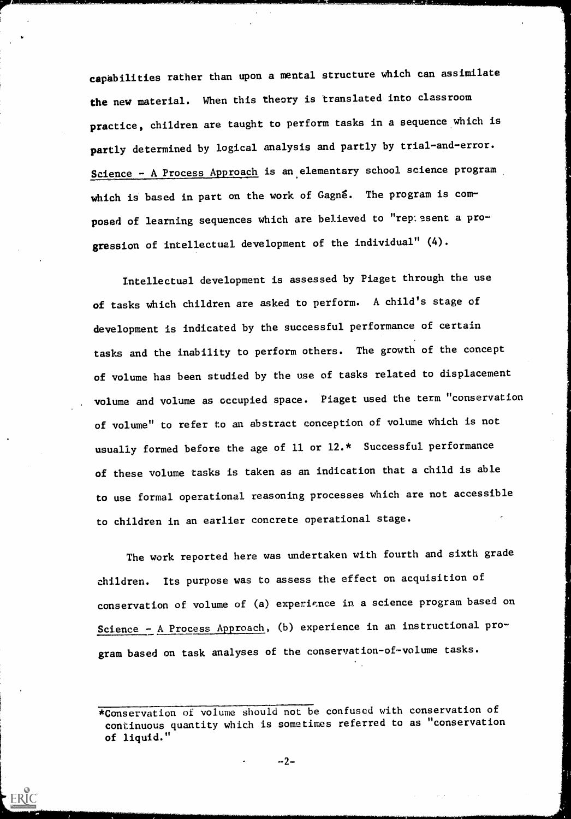capabilities rather than upon a mental structure which can assimilate the new material. When this theory is translated into classroom practice, children are taught to perform tasks in a sequence which is partly determined by logical analysis and partly by trial-and-error. Science - A Process Approach is an elementary school science program which is based in part on the work of Gagne. The program is composed of learning sequences which are believed to "rep: sent a progression of intellectual development of the individual" (4).

Intellectual development is assessed by Piaget through the use of tasks which children are asked to perform. A child's stage of development is indicated by the successful performance of certain tasks and the inability to perform others. The growth of the concept of volume has been studied by the use of tasks related to displacement volume and volume as occupied space. Piaget used the term "conservation of volume" to refer to an abstract conception of volume which is not usually formed before the age of 11 or 12.\* Successful performance of these volume tasks is taken as an indication that a child is able to use formal operational reasoning processes which are not accessible to children in an earlier concrete operational stage.

The work reported here was undertaken with fourth and sixth grade children. Its purpose was to assess the effect on acquisition of conservation of volume of (a) experience in a science program based on Science - A Process Approach, (b) experience in an instructional program based on task analyses of the conservation-of-volume tasks.

 $-2-$ 

<sup>\*</sup>Conservation of volume should not be confused with conservation of continuous quantity which is sometimes referred to as "conservation of liquid."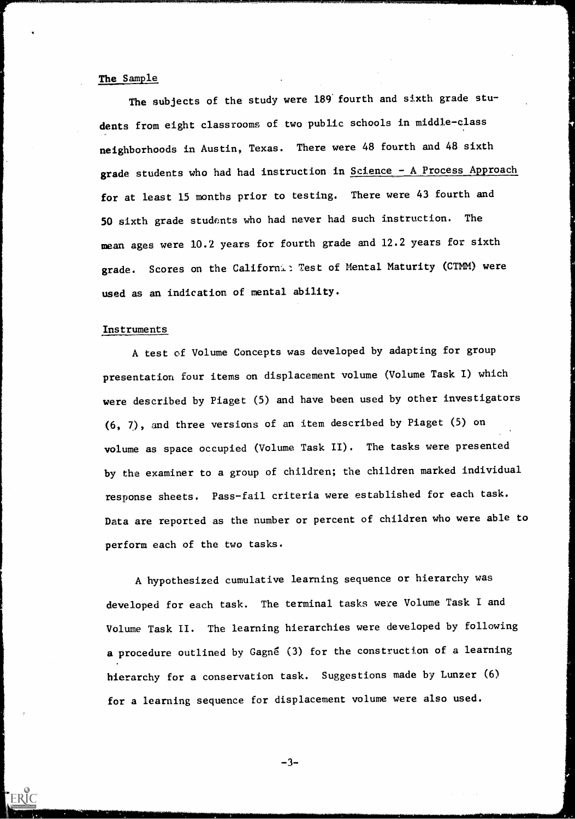## The Sample

The subjects of the study were 189 fourth and sixth grade students from eight classrooms of two public schools in middle-class neighborhoods in Austin, Texas. There were 48 fourth and 48 sixth grade students who had had instruction in Science - A Process Approach for at least 15 months prior to testing. There were 43 fourth and 50 sixth grade students who had never had such instruction. The mean ages were 10.2 years for fourth grade and 12.2 years for sixth grade. Scores on the Californ4.: Test of Mental Maturity (CTMM) were used as an indication of mental ability.

### Instruments

A test of Volume Concepts was developed by adapting for group presentation four items on displacement volume (Volume Task I) which were described by Piaget (5) and have been used by other investigators (6, 7.), and three versions of an item described by Piaget (5) on volume as space occupied (Volume Task II). The tasks were presented by the examiner to a group of children; the children marked individual response sheets. Pass-fail criteria were established for each task. Data are reported as the number or percent of children who were able to perform each of the two tasks.

A hypothesized cumulative learning sequence or hierarchy was developed for each task. The terminal tasks were Volume Task I and Volume Task II. The learning hierarchies were developed by following a procedure outlined by Gagné (3) for the construction of a learning hierarchy for a conservation task. Suggestions made by Lunzer (6) for a learning sequence for displacement volume were also used.

 $-3-$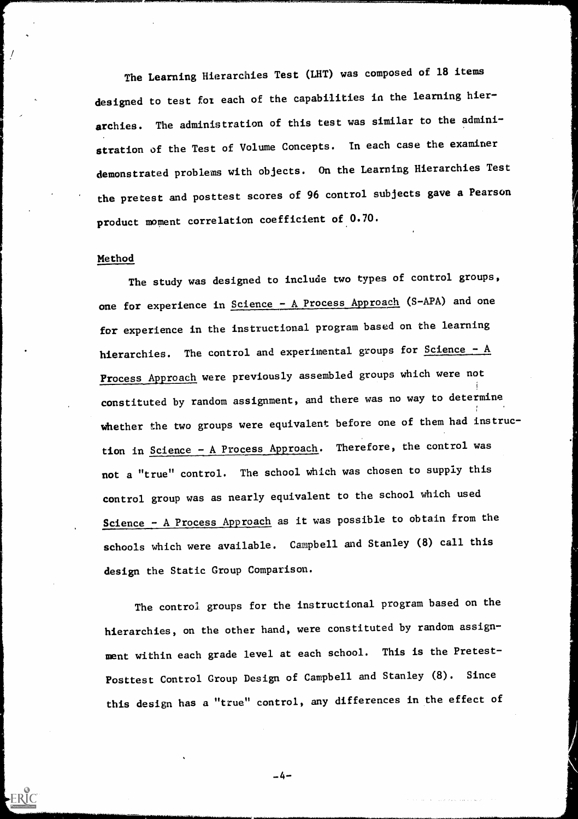The Learning Hierarchies Test (LHT) was composed of 18 items designed to test for each of the capabilities in the learning hierarchies. The administration of this test was similar to the administration of the Test of Volume Concepts. In each case the examiner demonstrated problems with objects. On the Learning Hierarchies Test the pretest and posttest scores of 96 control subjects gave a Pearson product moment correlation coefficient of 0.70.

## Method

The study was designed to include two types of control groups, one for experience in Science - A Process Approach (S-APA) and one for experience in the instructional program based on the learning hierarchies. The control and experimental groups for Science - A Process Approach were previously assembled groups which were not constituted by random assignment, and there was no way to determine whether the two groups were equivalent before one of them had instruction in Science - A Process Approach. Therefore, the control was not a "true" control. The school which was chosen to supply this control group was as nearly equivalent to the school which used Science - A Process Approach as it was possible to obtain from the schools which were available. Campbell and Stanley (8) call this design the Static Group Comparison.

The control groups for the instructional program based on the hierarchies, on the other hand, were constituted by random assignment within each grade level at each school. This is the Pretest-Posttest Control Group Design of Campbell and Stanley (8). Since this design has a "true" control, any differences in the effect of

-4-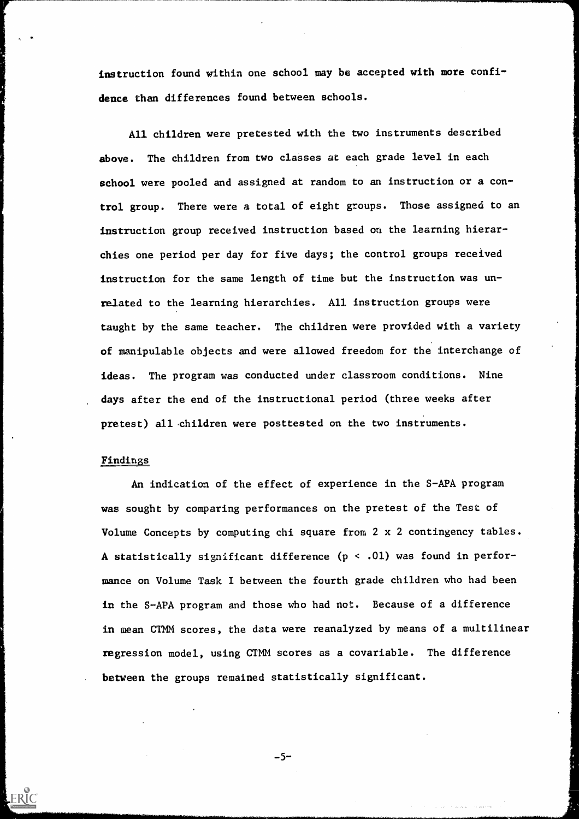instruction found within one school may be accepted with more confidence than differences found between schools.

All children were pretested with the two instruments described above. The children from two classes at each grade level in each school were pooled and assigned at random to an instruction or a control group. There were a total of eight groups. Those assigned to an instruction group received instruction based on the learning hierarchies one period per day for five days; the control groups received instruction for the same length of time but the instruction was unrelated to the learning hierarchies. All instruction groups were taught by the same teacher. The children were provided with a variety of manipulable objects and were allowed freedom for the interchange of ideas. The program was conducted under classroom conditions. Nine days after the end of the instructional period (three weeks after pretest) all children were posttested on the two instruments.

## Findings

ERIC

An indication of the effect of experience in the S-APA program was sought by comparing performances on the pretest of the Test of Volume Concepts by computing chi square from 2 x 2 contingency tables. A statistically significant difference  $(p < .01)$  was found in performance on Volume Task I between the fourth grade children who had been in the S-APA program and those who had not. Because of a difference in mean CTMM scores, the data were reanalyzed by means of a multilinear regression model, using CTMM scores as a covariable. The difference between the groups remained statistically significant.

 $-5-$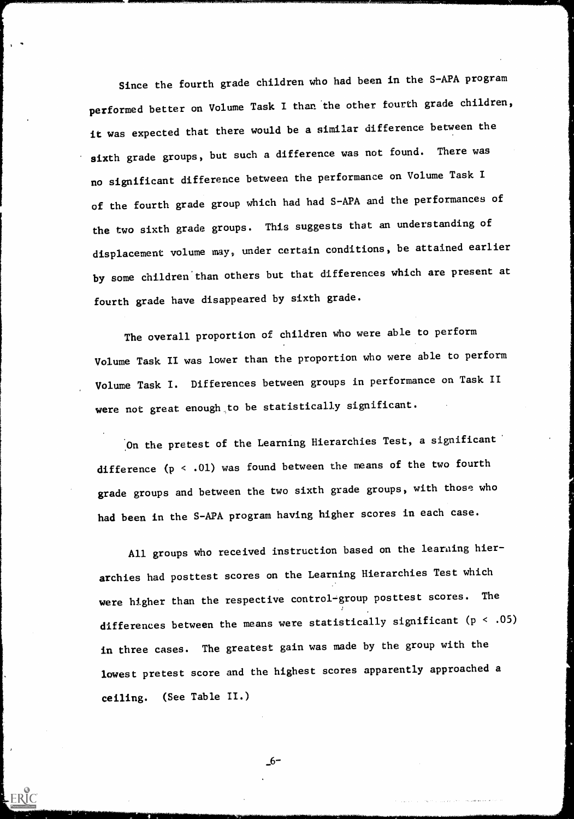Since the fourth grade children who had been in the S-APA program performed better on Volume Task I than 'the other fourth grade children, it was expected that there would be a similar difference between the sixth grade groups, but such a difference was not found. There was no significant difference between the performance on Volume Task of the fourth grade group which had had S-APA and the performances of the two sixth grade groups. This suggests that an understanding of displacement volume may, under certain conditions, be attained earlier by some children'than others but that differences which are present at fourth grade have disappeared by sixth grade.

The overall proportion of children who were able to perform Volume Task II was lower than the proportion who were able to perform Volume Task I. Differences between groups in performance on Task 11 were not great enough to be statistically significant.

On the pretest of the Learning Hierarchies Test, a significant difference  $(p < .01)$  was found between the means of the two fourth grade groups and between the two sixth grade groups, with those who had been in the S-APA program having higher scores in each case.

All groups who received instruction based on the learning hierarchies had posttest scores on the Learning Hierarchies Test which were higher than the respective control-group posttest scores. The differences between the means were statistically significant ( $p < .05$ ) in three cases. The greatest gain was made by the group with the lowest pretest score and the highest scores apparently approached a ceiling. (See Table 11.)

\_6-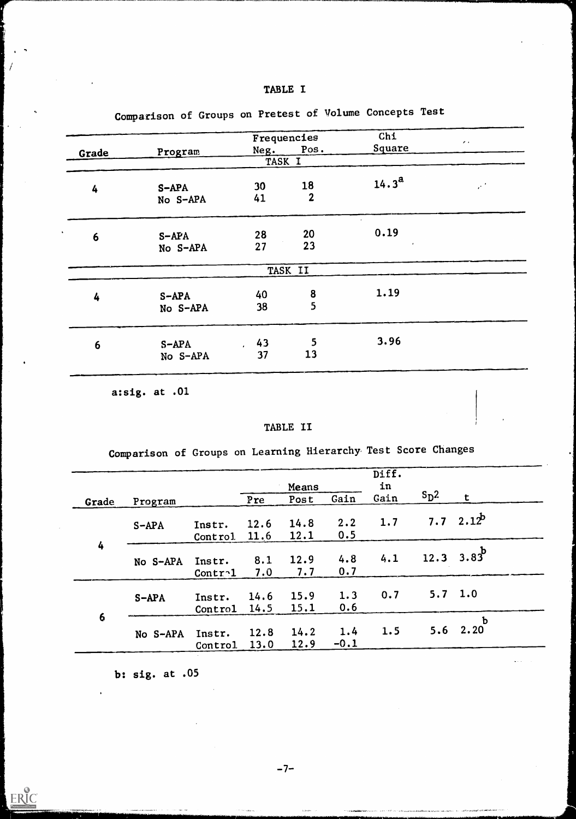| <b>TABLE I</b> |  |
|----------------|--|
|                |  |

|                 |                     |          | Frequencies                           | Chi               | $\epsilon$ .        |
|-----------------|---------------------|----------|---------------------------------------|-------------------|---------------------|
| Grade           | Program             | Neg.     | Pos.                                  | Square            |                     |
|                 |                     | TASK I   |                                       |                   |                     |
| 4               | $S-APA$<br>No S-APA | 30<br>41 | 18<br>$\mathbf{2}$                    | $14.3^{\rm a}$    | $\mathcal{E}^{\pm}$ |
| $6\phantom{1}6$ | $S-APA$<br>No S-APA | 28<br>27 | 20<br>23                              | 0.19<br>$\bullet$ |                     |
|                 |                     |          | TASK II                               |                   |                     |
| 4               | $S-APA$<br>No S-APA | 40<br>38 | $\begin{array}{c} 8 \\ 5 \end{array}$ | 1.19              |                     |
| 6               | $S-APA$<br>No S-APA | 43<br>37 | 5<br>13                               | 3.96              |                     |

Comparison of Groups on Pretest of Volume Concepts Test

a:sig. at .01

## TABLE II

Comparison of Groups on Learning Hierarchy Test Score Changes

|       |          |                   |              |              |               | Diff. |                  |                     |
|-------|----------|-------------------|--------------|--------------|---------------|-------|------------------|---------------------|
|       |          |                   |              | Means        |               | in    |                  |                     |
| Grade | Program  |                   | Pre          | Post         | Gain          | Gain  | $S_{\text{D}}^2$ | t                   |
|       | $S-APA$  | Instr.<br>Control | 12.6<br>11.6 | 14.8<br>12.1 | 2.2<br>0.5    | 1.7   |                  | 7.7 2.1 $2^b$       |
| 4     | No S-APA | Instr.<br>Contr1  | 8.1<br>7.0   | 12.9<br>7.7  | 4.8<br>0.7    | 4.1   | 12.3             | $3.83^b$            |
| 6     | $S-APA$  | Instr.<br>Control | 14.6<br>14.5 | 15.9<br>15.1 | 1.3<br>0.6    | 0.7   | 5.7              | 1.0                 |
|       | No S-APA | Instr.<br>Control | 12.8<br>13.0 | 14.2<br>12.9 | 1.4<br>$-0.1$ | 1.5   | 5.6              | $\mathbf b$<br>2.20 |

b: sig. at .05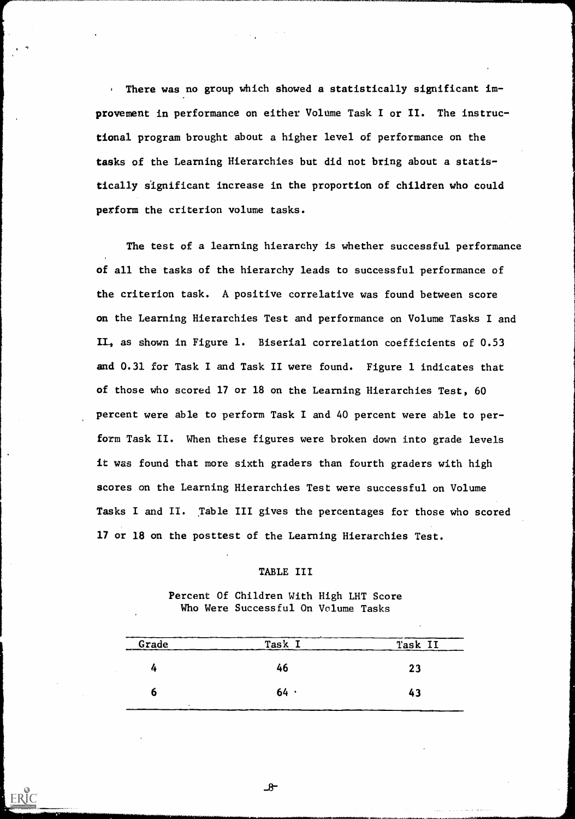There was no group which showed a statistically significant im- $\mathbf{F}^{(1)}$ provement in performance on either Volume Task I or II. The instructional program brought about a higher level of performance on the tasks of the Learning Hierarchies but did not bring about a statistically significant increase in the proportion of children who could perform the criterion volume tasks.

The test of a learning hierarchy is whether successful performance of all the tasks of the hierarchy leads to successful performance of the criterion task. A positive correlative was found between score on the Learning Hierarchies Test and performance on Volume Tasks I and II, as shown in Figure 1. Biserial correlation coefficients of 0.53 and 0.31 for Task I and Task II were found. Figure 1 indicates that of those who scored 17 or 18 on the Learning Hierarchies Test, 60 percent were able to perform Task I and 40 percent were able to perform Task II. When these figures were broken down into grade levels it was found that more sixth graders than fourth graders with high scores on the Learning Hierarchies Test were successful on Volume Tasks I and II. Table III gives the percentages for those who scored 17 or 18 on the posttest of the Learning Hierarchies Test.

### TABLE III

Percent Of Children With High LHT Score Who Were Successful On Volume Tasks

| Grade            | Task | Task II |
|------------------|------|---------|
| $\boldsymbol{a}$ | 46   | 23      |
| o                | 64.  | 43      |
|                  |      |         |

 $-8$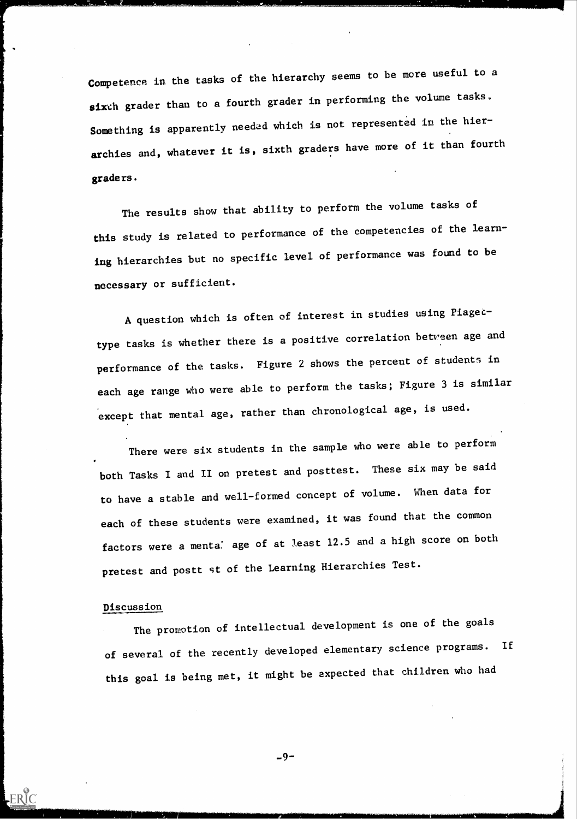Competence in the tasks of the hierarchy seems to be more useful to a sixth grader than to a fourth grader in performing the volume tasks. Something is apparently needed which is not represented in the hierarchies and, whatever it is, sixth graders have more of it than fourth graders.

The results show that ability to perform the volume tasks of this study is related to performance of the competencies of the learning hierarchies but no specific level of performance was found to be necessary or sufficient.

A question which is often of interest in studies using Piagectype tasks is whether there is a positive correlation betveen age and performance of the tasks. Figure 2 shows the percent of students in each age range who were able to perform the tasks; Figure 3 is similar except that mental age, rather than chronological age, is used.

There were six students in the sample who were able to perform both Tasks I and II on pretest and posttest. These six may be said to have a stable and well-formed concept of volume. When data for each of these students were examined, it was found that the common factors were a menta<sup>:</sup> age of at least 12.5 and a high score on both pretest and postt st of the Learning Hierarchies Test.

## Discussion

ERIC

The promotion of intellectual development is one of the goals of several of the recently developed elementary science programs. If this goal is being met, it might be expected that children who had

 $-9-$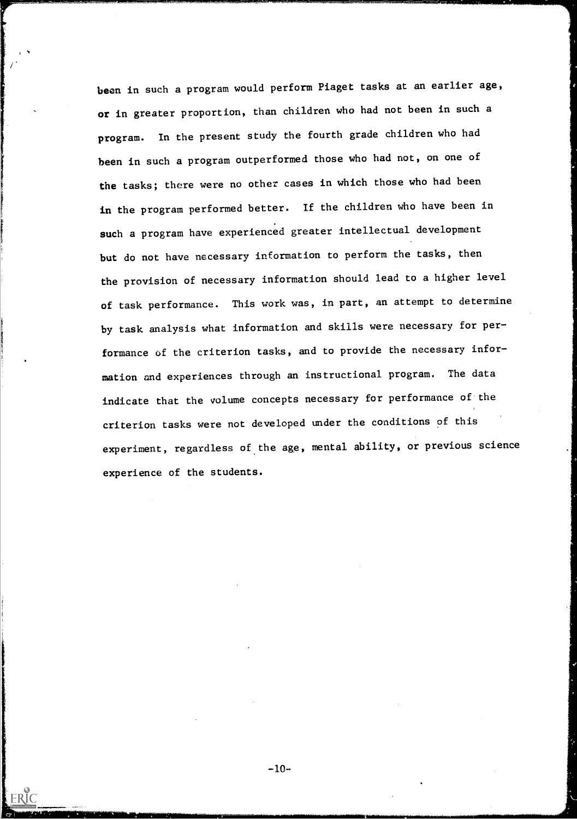been in such a program would perform Piaget tasks at an earlier age, or in greater proportion, than children who had not been in such a program. In the present study the fourth grade children who had been in such a program outperformed those who had not, on one of the tasks; there were no other cases in which those who had been in the program performed better. If the children who have been in such a program have experienced greater intellectual development but do not have necessary information to perform the tasks, then the provision of necessary information should lead to a higher level of task performance. This work was, in part, an attempt to determine by task analysis what information and skills were necessary for performance of the criterion tasks, and to provide the necessary information and experiences through an instructional program. The data indicate that the volume concepts necessary for performance of the criterion tasks were not developed under the conditions of this experiment, regardless of the age, mental ability, or previous science experience of the students.

وتونيون ستحتب فبالأم

 $-10-$